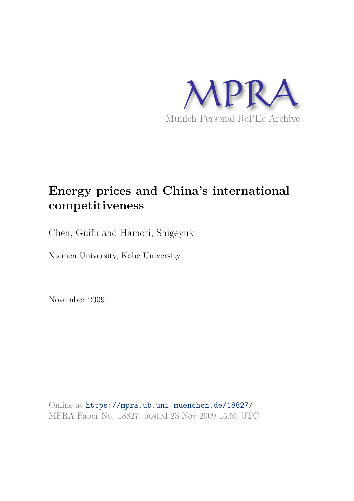

# **Energy prices and China's international competitiveness**

Chen, Guifu and Hamori, Shigeyuki

Xiamen University, Kobe University

November 2009

Online at https://mpra.ub.uni-muenchen.de/18827/ MPRA Paper No. 18827, posted 23 Nov 2009 15:55 UTC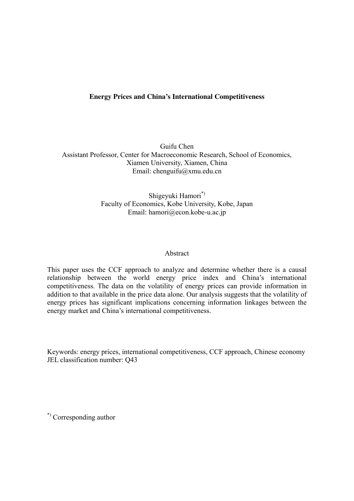## **Energy Prices and China's International Competitiveness**

Guifu Chen Assistant Professor, Center for Macroeconomic Research, School of Economics, Xiamen University, Xiamen, China Email: chenguifu@xmu.edu.cn

> Shigeyuki Hamori\*) Faculty of Economics, Kobe University, Kobe, Japan Email: hamori@econ.kobe-u.ac.jp

#### Abstract

This paper uses the CCF approach to analyze and determine whether there is a causal relationship between the world energy price index and China's international competitiveness. The data on the volatility of energy prices can provide information in addition to that available in the price data alone. Our analysis suggests that the volatility of energy prices has significant implications concerning information linkages between the energy market and China's international competitiveness.

Keywords: energy prices, international competitiveness, CCF approach, Chinese economy JEL classification number: Q43

\*) Corresponding author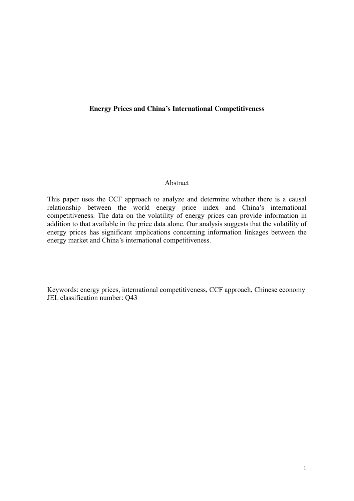#### **Energy Prices and China's International Competitiveness**

#### Abstract

This paper uses the CCF approach to analyze and determine whether there is a causal relationship between the world energy price index and China's international competitiveness. The data on the volatility of energy prices can provide information in addition to that available in the price data alone. Our analysis suggests that the volatility of energy prices has significant implications concerning information linkages between the energy market and China's international competitiveness.

Keywords: energy prices, international competitiveness, CCF approach, Chinese economy JEL classification number: Q43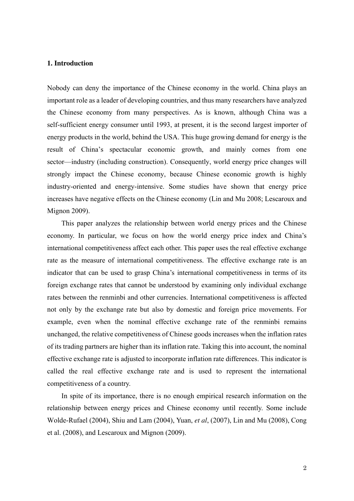#### **1. Introduction**

Nobody can deny the importance of the Chinese economy in the world. China plays an important role as a leader of developing countries, and thus many researchers have analyzed the Chinese economy from many perspectives. As is known, although China was a self-sufficient energy consumer until 1993, at present, it is the second largest importer of energy products in the world, behind the USA. This huge growing demand for energy is the result of China's spectacular economic growth, and mainly comes from one sector—industry (including construction). Consequently, world energy price changes will strongly impact the Chinese economy, because Chinese economic growth is highly industry-oriented and energy-intensive. Some studies have shown that energy price increases have negative effects on the Chinese economy (Lin and Mu 2008; Lescaroux and Mignon 2009).

This paper analyzes the relationship between world energy prices and the Chinese economy. In particular, we focus on how the world energy price index and China's international competitiveness affect each other. This paper uses the real effective exchange rate as the measure of international competitiveness. The effective exchange rate is an indicator that can be used to grasp China's international competitiveness in terms of its foreign exchange rates that cannot be understood by examining only individual exchange rates between the renminbi and other currencies. International competitiveness is affected not only by the exchange rate but also by domestic and foreign price movements. For example, even when the nominal effective exchange rate of the renminbi remains unchanged, the relative competitiveness of Chinese goods increases when the inflation rates of its trading partners are higher than its inflation rate. Taking this into account, the nominal effective exchange rate is adjusted to incorporate inflation rate differences. This indicator is called the real effective exchange rate and is used to represent the international competitiveness of a country.

In spite of its importance, there is no enough empirical research information on the relationship between energy prices and Chinese economy until recently. Some include Wolde-Rufael (2004), Shiu and Lam (2004), Yuan, *et al*, (2007), Lin and Mu (2008), Cong et al. (2008), and Lescaroux and Mignon (2009).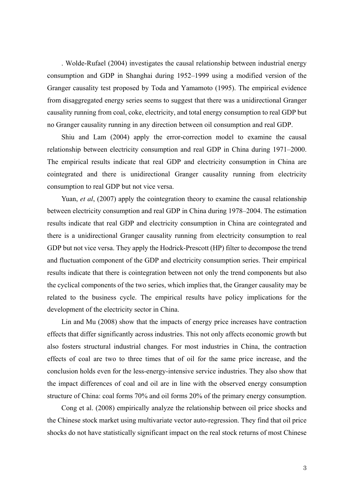. Wolde-Rufael (2004) investigates the causal relationship between industrial energy consumption and GDP in Shanghai during 1952–1999 using a modified version of the Granger causality test proposed by Toda and Yamamoto (1995). The empirical evidence from disaggregated energy series seems to suggest that there was a unidirectional Granger causality running from coal, coke, electricity, and total energy consumption to real GDP but no Granger causality running in any direction between oil consumption and real GDP.

Shiu and Lam (2004) apply the error-correction model to examine the causal relationship between electricity consumption and real GDP in China during 1971–2000. The empirical results indicate that real GDP and electricity consumption in China are cointegrated and there is unidirectional Granger causality running from electricity consumption to real GDP but not vice versa.

Yuan, *et al*, (2007) apply the cointegration theory to examine the causal relationship between electricity consumption and real GDP in China during 1978–2004. The estimation results indicate that real GDP and electricity consumption in China are cointegrated and there is a unidirectional Granger causality running from electricity consumption to real GDP but not vice versa. They apply the Hodrick-Prescott (HP) filter to decompose the trend and fluctuation component of the GDP and electricity consumption series. Their empirical results indicate that there is cointegration between not only the trend components but also the cyclical components of the two series, which implies that, the Granger causality may be related to the business cycle. The empirical results have policy implications for the development of the electricity sector in China.

Lin and Mu (2008) show that the impacts of energy price increases have contraction effects that differ significantly across industries. This not only affects economic growth but also fosters structural industrial changes. For most industries in China, the contraction effects of coal are two to three times that of oil for the same price increase, and the conclusion holds even for the less-energy-intensive service industries. They also show that the impact differences of coal and oil are in line with the observed energy consumption structure of China: coal forms 70% and oil forms 20% of the primary energy consumption.

Cong et al. (2008) empirically analyze the relationship between oil price shocks and the Chinese stock market using multivariate vector auto-regression. They find that oil price shocks do not have statistically significant impact on the real stock returns of most Chinese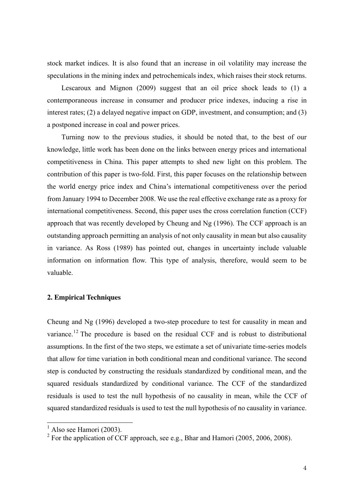stock market indices. It is also found that an increase in oil volatility may increase the speculations in the mining index and petrochemicals index, which raises their stock returns.

Lescaroux and Mignon (2009) suggest that an oil price shock leads to (1) a contemporaneous increase in consumer and producer price indexes, inducing a rise in interest rates; (2) a delayed negative impact on GDP, investment, and consumption; and (3) a postponed increase in coal and power prices.

Turning now to the previous studies, it should be noted that, to the best of our knowledge, little work has been done on the links between energy prices and international competitiveness in China. This paper attempts to shed new light on this problem. The contribution of this paper is two-fold. First, this paper focuses on the relationship between the world energy price index and China's international competitiveness over the period from January 1994 to December 2008. We use the real effective exchange rate as a proxy for international competitiveness. Second, this paper uses the cross correlation function (CCF) approach that was recently developed by Cheung and Ng (1996). The CCF approach is an outstanding approach permitting an analysis of not only causality in mean but also causality in variance. As Ross (1989) has pointed out, changes in uncertainty include valuable information on information flow. This type of analysis, therefore, would seem to be valuable.

## **2. Empirical Techniques**

Cheung and Ng (1996) developed a two-step procedure to test for causality in mean and variance.<sup>12</sup> The procedure is based on the residual CCF and is robust to distributional assumptions. In the first of the two steps, we estimate a set of univariate time-series models that allow for time variation in both conditional mean and conditional variance. The second step is conducted by constructing the residuals standardized by conditional mean, and the squared residuals standardized by conditional variance. The CCF of the standardized residuals is used to test the null hypothesis of no causality in mean, while the CCF of squared standardized residuals is used to test the null hypothesis of no causality in variance.

 $<sup>1</sup>$  Also see Hamori (2003).</sup>

<sup>&</sup>lt;sup>2</sup> For the application of CCF approach, see e.g., Bhar and Hamori (2005, 2006, 2008).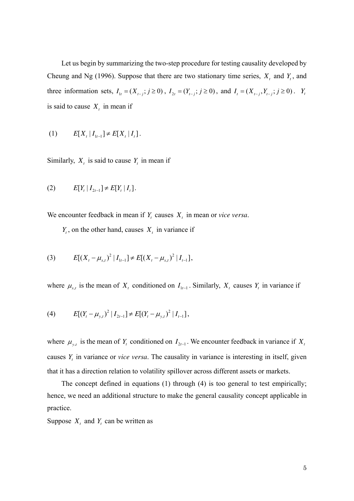Let us begin by summarizing the two-step procedure for testing causality developed by Cheung and Ng (1996). Suppose that there are two stationary time series,  $X_t$  and  $Y_t$ , and three information sets,  $I_{1t} = (X_{t-j}; j \ge 0)$ ,  $I_{2t} = (Y_{t-j}; j \ge 0)$ , and  $I_t = (X_{t-j}, Y_{t-j}; j \ge 0)$ .  $Y_t$ is said to cause  $X_t$  in mean if

(1) 
$$
E[X_t | I_{1t-1}] \neq E[X_t | I_t].
$$

Similarly,  $X_t$  is said to cause  $Y_t$  in mean if

(2) 
$$
E[Y_t | I_{2t-1}] \neq E[Y_t | I_t].
$$

We encounter feedback in mean if  $Y_t$  causes  $X_t$  in mean or *vice versa*.

 $Y_t$ , on the other hand, causes  $X_t$  in variance if

(3) 
$$
E[(X_t - \mu_{x,t})^2 | I_{t-1}] \neq E[(X_t - \mu_{x,t})^2 | I_{t-1}],
$$

where  $\mu_{x,t}$  is the mean of  $X_t$  conditioned on  $I_{1t-1}$ . Similarly,  $X_t$  causes  $Y_t$  in variance if

(4) 
$$
E[(Y_t - \mu_{y,t})^2 | I_{2t-1}] \neq E[(Y_t - \mu_{y,t})^2 | I_{t-1}],
$$

where  $\mu_{y,t}$  is the mean of  $Y_t$  conditioned on  $I_{2t-1}$ . We encounter feedback in variance if  $X_t$ causes *Y<sup>t</sup>* in variance or *vice versa*. The causality in variance is interesting in itself, given that it has a direction relation to volatility spillover across different assets or markets.

The concept defined in equations (1) through (4) is too general to test empirically; hence, we need an additional structure to make the general causality concept applicable in practice.

Suppose  $X_t$  and  $Y_t$  can be written as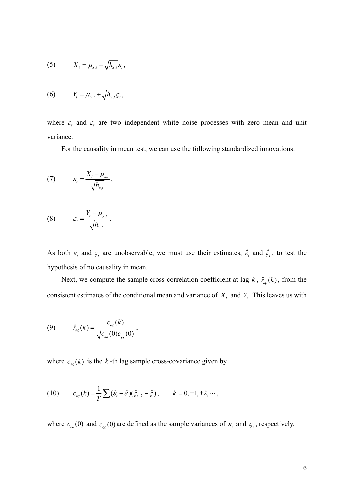$$
(5) \tXt = \mux,t + \sqrt{h_{x,t}} \varepsilont,
$$

$$
(6) \t Yt = \muy,t + \sqrt{h_{y,t}} \mathcal{G}t,
$$

where  $\varepsilon$ <sub>t</sub> and  $\varsigma$ <sub>t</sub> are two independent white noise processes with zero mean and unit variance.

For the causality in mean test, we can use the following standardized innovations:

$$
(7) \t\t\t\t\varepsilon_{t} = \frac{X_{t} - \mu_{x,t}}{\sqrt{h_{x,t}}},
$$

$$
(8) \qquad \qquad \mathcal{G}_t = \frac{Y_t - \mu_{y,t}}{\sqrt{h_{y,t}}}.
$$

As both  $\varepsilon$ <sub>t</sub> and  $\zeta$ <sub>t</sub> are unobservable, we must use their estimates,  $\hat{\varepsilon}$ <sub>t</sub> and  $\hat{\zeta}$ <sub>t</sub>, to test the hypothesis of no causality in mean.

Next, we compute the sample cross-correlation coefficient at lag  $k$ ,  $\hat{r}_{\epsilon\zeta}(k)$ , from the consistent estimates of the conditional mean and variance of  $X_t$  and  $Y_t$ . This leaves us with

(9) 
$$
\hat{r}_{\varepsilon\varsigma}(k) = \frac{c_{\varepsilon\varsigma}(k)}{\sqrt{c_{\varepsilon\varsigma}(0)c_{\varsigma\varsigma}(0)}},
$$

where  $c_{\varepsilon\zeta}(k)$  is the *k*-th lag sample cross-covariance given by

(10) 
$$
c_{\varepsilon_{\varsigma}}(k) = \frac{1}{T} \sum (\hat{\varepsilon}_t - \overline{\hat{\varepsilon}})(\hat{\zeta}_{t-k} - \overline{\hat{\zeta}}), \qquad k = 0, \pm 1, \pm 2, \cdots,
$$

where  $c_{\varepsilon}$  (0) and  $c_{\varepsilon}$  (0) are defined as the sample variances of  $\varepsilon$ <sub>t</sub> and  $\zeta$ <sub>t</sub>, respectively.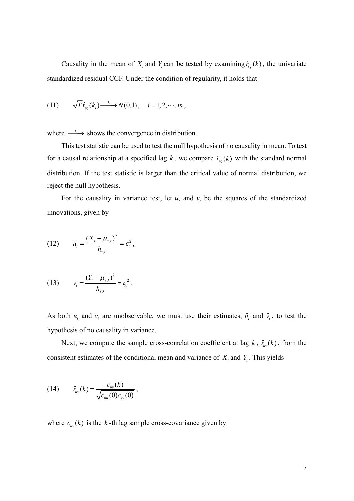Causality in the mean of  $X_t$  and  $Y_t$  can be tested by examining  $\hat{r}_{\varepsilon}$ <sub> $\epsilon$ </sub> (k), the univariate standardized residual CCF. Under the condition of regularity, it holds that

(11) 
$$
\sqrt{T} \hat{r}_{\varepsilon_{\varsigma}}(k_i) \xrightarrow{L} N(0,1), \quad i = 1, 2, \cdots, m,
$$

where  $\frac{L}{\sqrt{2}}$  shows the convergence in distribution.

This test statistic can be used to test the null hypothesis of no causality in mean. To test for a causal relationship at a specified lag *k*, we compare  $\hat{r}_{\epsilon\xi}(k)$  with the standard normal distribution. If the test statistic is larger than the critical value of normal distribution, we reject the null hypothesis.

For the causality in variance test, let  $u_t$  and  $v_t$  be the squares of the standardized innovations, given by

(12) 
$$
u_t = \frac{(X_t - \mu_{x,t})^2}{h_{x,t}} = \varepsilon_t^2,
$$

(13) 
$$
v_t = \frac{(Y_t - \mu_{y,t})^2}{h_{y,t}} = \zeta_t^2.
$$

As both  $u_t$  and  $v_t$  are unobservable, we must use their estimates,  $\hat{u}_t$  and  $\hat{v}_t$ , to test the hypothesis of no causality in variance.

Next, we compute the sample cross-correlation coefficient at lag  $k$ ,  $\hat{r}_{w}(k)$ , from the consistent estimates of the conditional mean and variance of  $X_t$  and  $Y_t$ . This yields

(14) 
$$
\hat{r}_{uv}(k) = \frac{c_{uv}(k)}{\sqrt{c_{uu}(0)c_{vv}(0)}},
$$

where  $c_w(k)$  is the *k*-th lag sample cross-covariance given by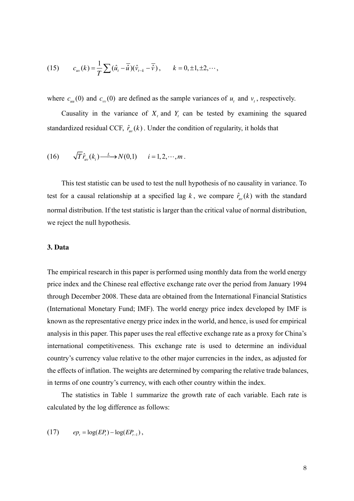(15) 
$$
c_{uv}(k) = \frac{1}{T} \sum (\hat{u}_t - \overline{\hat{u}})(\hat{v}_{t-k} - \overline{\hat{v}}), \qquad k = 0, \pm 1, \pm 2, \cdots,
$$

where  $c_{uu}(0)$  and  $c_{vv}(0)$  are defined as the sample variances of  $u_t$  and  $v_t$ , respectively.

Causality in the variance of  $X_t$  and  $Y_t$  can be tested by examining the squared standardized residual CCF,  $\hat{r}_{uv}(k)$ . Under the condition of regularity, it holds that

(16) 
$$
\sqrt{T} \hat{r}_{uv}(k_i) \xrightarrow{L} N(0,1) \quad i = 1, 2, \cdots, m
$$
.

This test statistic can be used to test the null hypothesis of no causality in variance. To test for a causal relationship at a specified lag k, we compare  $\hat{r}_{uv}(k)$  with the standard normal distribution. If the test statistic is larger than the critical value of normal distribution, we reject the null hypothesis.

#### **3. Data**

The empirical research in this paper is performed using monthly data from the world energy price index and the Chinese real effective exchange rate over the period from January 1994 through December 2008. These data are obtained from the International Financial Statistics (International Monetary Fund; IMF). The world energy price index developed by IMF is known as the representative energy price index in the world, and hence, is used for empirical analysis in this paper. This paper uses the real effective exchange rate as a proxy for China's international competitiveness. This exchange rate is used to determine an individual country's currency value relative to the other major currencies in the index, as adjusted for the effects of inflation. The weights are determined by comparing the relative trade balances, in terms of one country's currency, with each other country within the index.

The statistics in Table 1 summarize the growth rate of each variable. Each rate is calculated by the log difference as follows:

(17) 
$$
ep_t = \log(EP_t) - \log(EP_{t-1}),
$$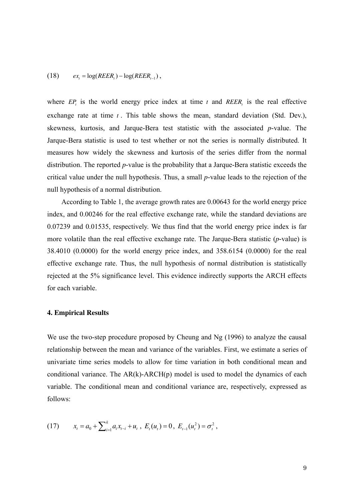$$
(18) \qquad ex_{t} = \log(REER_{t}) - \log(REER_{t-1}),
$$

where  $EP<sub>t</sub>$  is the world energy price index at time  $t$  and  $REER<sub>t</sub>$  is the real effective exchange rate at time *t* . This table shows the mean, standard deviation (Std. Dev.), skewness, kurtosis, and Jarque-Bera test statistic with the associated *p*-value. The Jarque-Bera statistic is used to test whether or not the series is normally distributed. It measures how widely the skewness and kurtosis of the series differ from the normal distribution. The reported *p*-value is the probability that a Jarque-Bera statistic exceeds the critical value under the null hypothesis. Thus, a small *p*-value leads to the rejection of the null hypothesis of a normal distribution.

According to Table 1, the average growth rates are 0.00643 for the world energy price index, and 0.00246 for the real effective exchange rate, while the standard deviations are 0.07239 and 0.01535, respectively. We thus find that the world energy price index is far more volatile than the real effective exchange rate. The Jarque-Bera statistic (*p*-value) is 38.4010 (0.0000) for the world energy price index, and 358.6154 (0.0000) for the real effective exchange rate. Thus, the null hypothesis of normal distribution is statistically rejected at the 5% significance level. This evidence indirectly supports the ARCH effects for each variable.

#### **4. Empirical Results**

We use the two-step procedure proposed by Cheung and Ng (1996) to analyze the causal relationship between the mean and variance of the variables. First, we estimate a series of univariate time series models to allow for time variation in both conditional mean and conditional variance. The  $AR(k)$ - $ARCH(p)$  model is used to model the dynamics of each variable. The conditional mean and conditional variance are, respectively, expressed as follows:

(17) 
$$
x_t = a_0 + \sum_{i=1}^k a_i x_{t-i} + u_t, \ E_t(u_t) = 0, \ E_{t-1}(u_t^2) = \sigma_t^2,
$$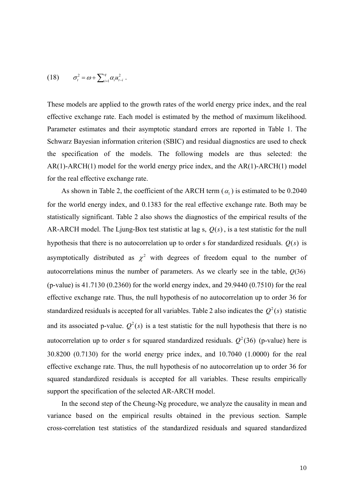(18) 
$$
\sigma_t^2 = \omega + \sum_{i=1}^q \alpha_i u_{t-i}^2.
$$

These models are applied to the growth rates of the world energy price index, and the real effective exchange rate. Each model is estimated by the method of maximum likelihood. Parameter estimates and their asymptotic standard errors are reported in Table 1. The Schwarz Bayesian information criterion (SBIC) and residual diagnostics are used to check the specification of the models. The following models are thus selected: the AR(1)-ARCH(1) model for the world energy price index, and the AR(1)-ARCH(1) model for the real effective exchange rate.

As shown in Table 2, the coefficient of the ARCH term  $(\alpha_1)$  is estimated to be 0.2040 for the world energy index, and 0.1383 for the real effective exchange rate. Both may be statistically significant. Table 2 also shows the diagnostics of the empirical results of the AR-ARCH model. The Ljung-Box test statistic at lag s,  $Q(s)$ , is a test statistic for the null hypothesis that there is no autocorrelation up to order s for standardized residuals.  $Q(s)$  is asymptotically distributed as  $\chi^2$  with degrees of freedom equal to the number of autocorrelations minus the number of parameters. As we clearly see in the table, *Q*(36) (p-value) is 41.7130 (0.2360) for the world energy index, and 29.9440 (0.7510) for the real effective exchange rate. Thus, the null hypothesis of no autocorrelation up to order 36 for standardized residuals is accepted for all variables. Table 2 also indicates the  $Q^2(s)$  statistic and its associated p-value.  $Q^2(s)$  is a test statistic for the null hypothesis that there is no autocorrelation up to order s for squared standardized residuals.  $Q^2(36)$  (p-value) here is 30.8200 (0.7130) for the world energy price index, and 10.7040 (1.0000) for the real effective exchange rate. Thus, the null hypothesis of no autocorrelation up to order 36 for squared standardized residuals is accepted for all variables. These results empirically support the specification of the selected AR-ARCH model.

In the second step of the Cheung-Ng procedure, we analyze the causality in mean and variance based on the empirical results obtained in the previous section. Sample cross-correlation test statistics of the standardized residuals and squared standardized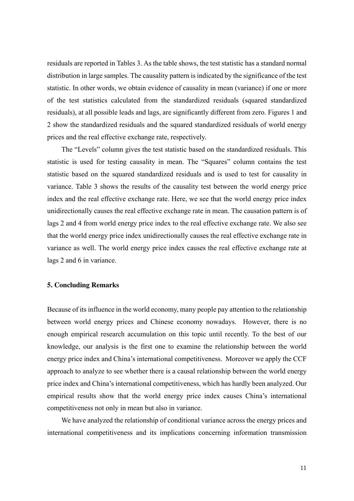residuals are reported in Tables 3. As the table shows, the test statistic has a standard normal distribution in large samples. The causality pattern is indicated by the significance of the test statistic. In other words, we obtain evidence of causality in mean (variance) if one or more of the test statistics calculated from the standardized residuals (squared standardized residuals), at all possible leads and lags, are significantly different from zero. Figures 1 and 2 show the standardized residuals and the squared standardized residuals of world energy prices and the real effective exchange rate, respectively.

The "Levels" column gives the test statistic based on the standardized residuals. This statistic is used for testing causality in mean. The "Squares" column contains the test statistic based on the squared standardized residuals and is used to test for causality in variance. Table 3 shows the results of the causality test between the world energy price index and the real effective exchange rate. Here, we see that the world energy price index unidirectionally causes the real effective exchange rate in mean. The causation pattern is of lags 2 and 4 from world energy price index to the real effective exchange rate. We also see that the world energy price index unidirectionally causes the real effective exchange rate in variance as well. The world energy price index causes the real effective exchange rate at lags 2 and 6 in variance.

### **5. Concluding Remarks**

Because of its influence in the world economy, many people pay attention to the relationship between world energy prices and Chinese economy nowadays. However, there is no enough empirical research accumulation on this topic until recently. To the best of our knowledge, our analysis is the first one to examine the relationship between the world energy price index and China's international competitiveness. Moreover we apply the CCF approach to analyze to see whether there is a causal relationship between the world energy price index and China's international competitiveness, which has hardly been analyzed. Our empirical results show that the world energy price index causes China's international competitiveness not only in mean but also in variance.

We have analyzed the relationship of conditional variance across the energy prices and international competitiveness and its implications concerning information transmission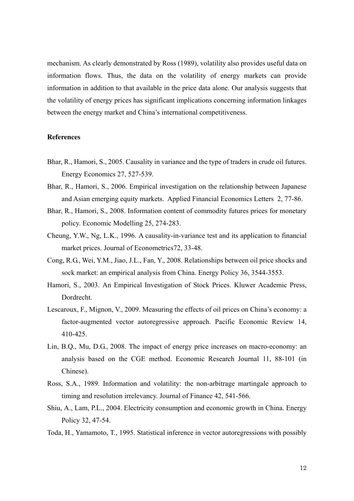mechanism. As clearly demonstrated by Ross (1989), volatility also provides useful data on information flows. Thus, the data on the volatility of energy markets can provide information in addition to that available in the price data alone. Our analysis suggests that the volatility of energy prices has significant implications concerning information linkages between the energy market and China's international competitiveness.

#### **References**

- Bhar, R., Hamori, S., 2005. Causality in variance and the type of traders in crude oil futures. Energy Economics 27, 527-539.
- Bhar, R., Hamori, S., 2006. Empirical investigation on the relationship between Japanese and Asian emerging equity markets. Applied Financial Economics Letters 2, 77-86.
- Bhar, R., Hamori, S., 2008. Information content of commodity futures prices for monetary policy. Economic Modelling 25, 274-283.
- Cheung, Y.W., Ng, L.K., 1996. A causality-in-variance test and its application to financial market prices. Journal of Econometrics72, 33-48.
- Cong, R.G., Wei, Y.M., Jiao, J.L., Fan, Y., 2008. Relationships between oil price shocks and sock market: an empirical analysis from China. Energy Policy 36, 3544-3553.
- Hamori, S., 2003. An Empirical Investigation of Stock Prices. Kluwer Academic Press, Dordrecht.
- Lescaroux, F., Mignon, V., 2009. Measuring the effects of oil prices on China's economy: a factor-augmented vector autoregressive approach. Pacific Economic Review 14, 410-425.
- Lin, B.Q., Mu, D.G., 2008. The impact of energy price increases on macro-economy: an analysis based on the CGE method. Economic Research Journal 11, 88-101 (in Chinese).
- Ross, S.A., 1989. Information and volatility: the non-arbitrage martingale approach to timing and resolution irrelevancy. Journal of Finance 42, 541-566.
- Shiu, A., Lam, P.L., 2004. Electricity consumption and economic growth in China. Energy Policy 32, 47-54.
- Toda, H., Yamamoto, T., 1995. Statistical inference in vector autoregressions with possibly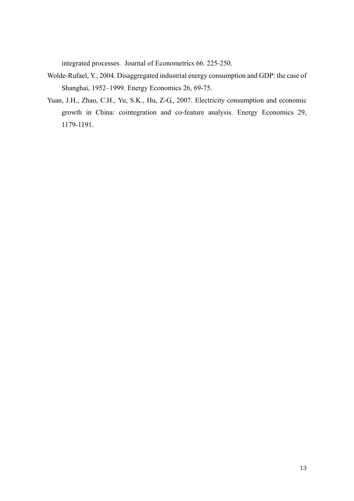integrated processes. Journal of Econometrics 66. 225-250.

- Wolde-Rufael, Y., 2004. Disaggregated industrial energy consumption and GDP: the case of Shanghai, 1952–1999. Energy Economics 26, 69-75.
- Yuan, J.H., Zhao, C.H., Yu, S.K., Hu, Z-G., 2007. Electricity consumption and economic growth in China: cointegration and co-feature analysis. Energy Economics 29, 1179-1191.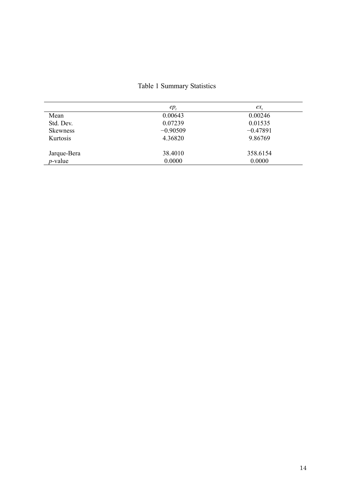# Table 1 Summary Statistics

|                 | $ep_{i}$   | $ex_{\cdot}$ |
|-----------------|------------|--------------|
| Mean            | 0.00643    | 0.00246      |
| Std. Dev.       | 0.07239    | 0.01535      |
| <b>Skewness</b> | $-0.90509$ | $-0.47891$   |
| Kurtosis        | 4.36820    | 9.86769      |
| Jarque-Bera     | 38.4010    | 358.6154     |
| $p$ -value      | 0.0000     | 0.0000       |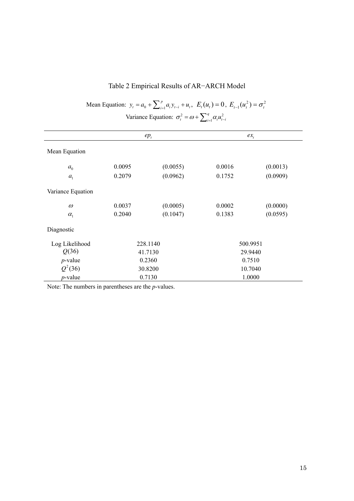| Variance Equation: $\sigma_t^2 = \omega + \sum_{i=1}^q \alpha_i u_{t-i}^2$ |          |          |          |          |  |
|----------------------------------------------------------------------------|----------|----------|----------|----------|--|
|                                                                            | $ep_t$   |          | $ex_{t}$ |          |  |
| Mean Equation                                                              |          |          |          |          |  |
| a <sub>0</sub>                                                             | 0.0095   | (0.0055) | 0.0016   | (0.0013) |  |
| a <sub>1</sub>                                                             | 0.2079   | (0.0962) | 0.1752   | (0.0909) |  |
| Variance Equation                                                          |          |          |          |          |  |
| $\omega$                                                                   | 0.0037   | (0.0005) | 0.0002   | (0.0000) |  |
| $\alpha_{1}$                                                               | 0.2040   | (0.1047) | 0.1383   | (0.0595) |  |
| Diagnostic                                                                 |          |          |          |          |  |
| Log Likelihood                                                             | 228.1140 |          | 500.9951 |          |  |
| Q(36)                                                                      | 41.7130  |          | 29.9440  |          |  |
| $p$ -value                                                                 | 0.2360   |          | 0.7510   |          |  |
| $Q^2(36)$                                                                  | 30.8200  |          | 10.7040  |          |  |
| $p$ -value                                                                 | 0.7130   |          | 1.0000   |          |  |

# Table 2 Empirical Results of AR−ARCH Model

 $y_t = a_0 + \sum_{i=1}^p a_i y_{t-i} + u_t, \ \ E_t(u_t) = 0, \ E_{t-1}(u_t^2) = \sigma_t^2$ 

 $E_{t-1}(u_t^2) = \sigma_t$ 

Mean Equation:  $y_t = a_0 + \sum_{i=1}^{p} a_i y_{t-i} + u_t$ ,

Note: The numbers in parentheses are the *p*-values.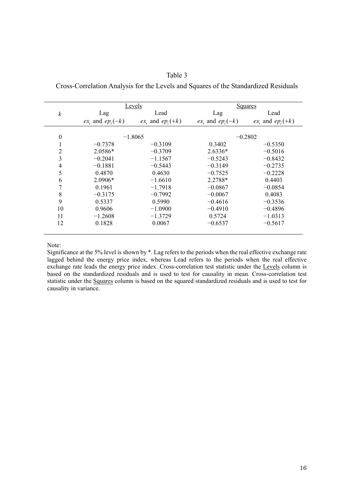|                  |                           | Levels                    |                           | <b>Squares</b>            |  |
|------------------|---------------------------|---------------------------|---------------------------|---------------------------|--|
| $\boldsymbol{k}$ | Lag                       | Lead                      | Lag                       | Lead                      |  |
|                  | $ex_{k}$ and $ep_{k}(-k)$ | $ex_{k}$ and $ep_{k}(+k)$ | $ex_{k}$ and $ep_{k}(-k)$ | $ex_{k}$ and $ep_{k}(+k)$ |  |
| $\boldsymbol{0}$ | $-1.8065$                 |                           | $-0.2802$                 |                           |  |
| $\mathbf{1}$     | $-0.7378$                 | $-0.3109$                 | 0.3402                    | $-0.5350$                 |  |
| 2                | 2.0586*                   | $-0.3709$                 | $2.6336*$                 | $-0.5016$                 |  |
| 3                | $-0.2041$                 | $-1.1567$                 | $-0.5243$                 | $-0.8432$                 |  |
| 4                | $-0.1881$                 | $-0.5443$                 | $-0.3149$                 | $-0.2735$                 |  |
| 5                | 0.4870                    | 0.4630                    | $-0.7525$                 | $-0.2228$                 |  |
| 6                | 2.0906*                   | $-1.6610$                 | 2.2788*                   | 0.4403                    |  |
| 7                | 0.1961                    | $-1.7918$                 | $-0.0867$                 | $-0.0854$                 |  |
| 8                | $-0.3175$                 | $-0.7992$                 | $-0.0067$                 | 0.4083                    |  |
| 9                | 0.5337                    | 0.5990                    | $-0.4616$                 | $-0.3536$                 |  |
| 10               | 0.9606                    | $-1.0900$                 | $-0.4910$                 | $-0.4896$                 |  |
| 11               | $-1.2608$                 | $-1.3729$                 | 0.5724                    | $-1.0313$                 |  |
| 12               | 0.1828                    | 0.0067                    | $-0.6537$                 | $-0.5617$                 |  |

Table 3 Cross-Correlation Analysis for the Levels and Squares of the Standardized Residuals

Note:

Significance at the 5% level is shown by \*. Lag refers to the periods when the real effective exchange rate lagged behind the energy price index, whereas Lead refers to the periods when the real effective exchange rate leads the energy price index. Cross-correlation test statistic under the Levels column is based on the standardized residuals and is used to test for causality in mean. Cross-correlation test statistic under the Squares column is based on the squared standardized residuals and is used to test for causality in variance.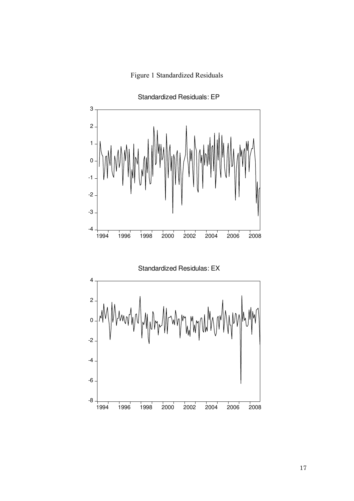



Standardized Residuals: EP